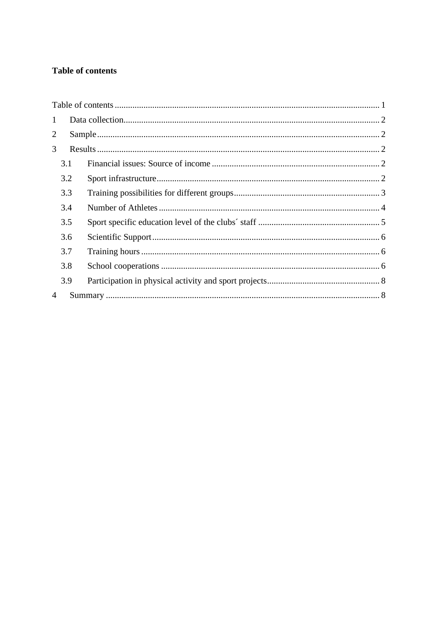# <span id="page-0-0"></span>**Table of contents**

| $\mathbf{1}$   |     |  |  |  |
|----------------|-----|--|--|--|
| $\overline{2}$ |     |  |  |  |
| 3              |     |  |  |  |
|                | 3.1 |  |  |  |
|                | 3.2 |  |  |  |
|                | 3.3 |  |  |  |
|                | 3.4 |  |  |  |
|                | 3.5 |  |  |  |
|                | 3.6 |  |  |  |
|                | 3.7 |  |  |  |
|                | 3.8 |  |  |  |
|                | 3.9 |  |  |  |
| 4              |     |  |  |  |
|                |     |  |  |  |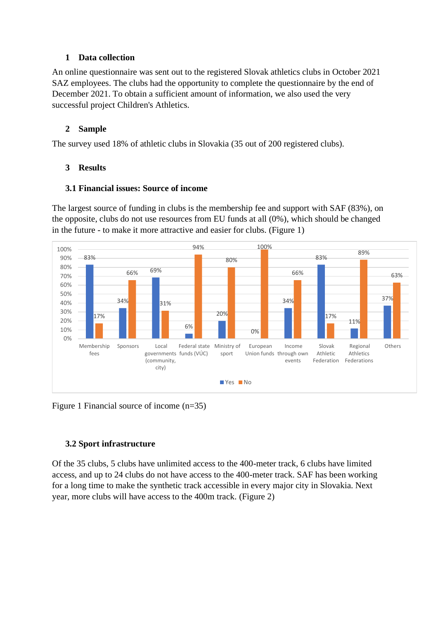#### <span id="page-1-0"></span>**1 Data collection**

An online questionnaire was sent out to the registered Slovak athletics clubs in October 2021 SAZ employees. The clubs had the opportunity to complete the questionnaire by the end of December 2021. To obtain a sufficient amount of information, we also used the very successful project Children's Athletics.

#### <span id="page-1-1"></span>**2 Sample**

The survey used 18% of athletic clubs in Slovakia (35 out of 200 registered clubs).

#### <span id="page-1-2"></span>**3 Results**

#### <span id="page-1-3"></span>**3.1 Financial issues: Source of income**

The largest source of funding in clubs is the membership fee and support with SAF (83%), on the opposite, clubs do not use resources from EU funds at all (0%), which should be changed in the future - to make it more attractive and easier for clubs. (Figure 1)



Figure 1 Financial source of income (n=35)

### <span id="page-1-4"></span>**3.2 Sport infrastructure**

Of the 35 clubs, 5 clubs have unlimited access to the 400-meter track, 6 clubs have limited access, and up to 24 clubs do not have access to the 400-meter track. SAF has been working for a long time to make the synthetic track accessible in every major city in Slovakia. Next year, more clubs will have access to the 400m track. (Figure 2)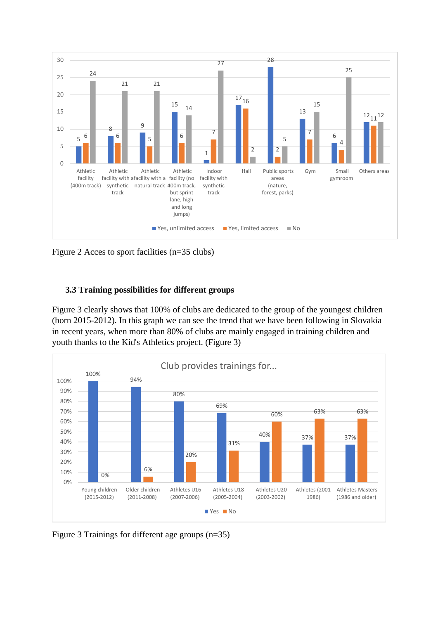

Figure 2 Acces to sport facilities (n=35 clubs)

#### <span id="page-2-0"></span>**3.3 Training possibilities for different groups**

Figure 3 clearly shows that 100% of clubs are dedicated to the group of the youngest children (born 2015-2012). In this graph we can see the trend that we have been following in Slovakia in recent years, when more than 80% of clubs are mainly engaged in training children and youth thanks to the Kid's Athletics project. (Figure 3)



Figure 3 Trainings for different age groups (n=35)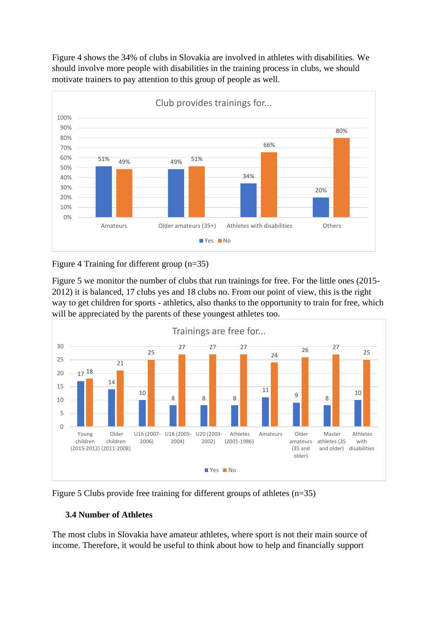Figure 4 shows the 34% of clubs in Slovakia are involved in athletes with disabilities. We should involve more people with disabilities in the training process in clubs, we should motivate trainers to pay attention to this group of people as well.



Figure 4 Training for different group (n=35)

Figure 5 we monitor the number of clubs that run trainings for free. For the little ones (2015- 2012) it is balanced, 17 clubs yes and 18 clubs no. From our point of view, this is the right way to get children for sports - athletics, also thanks to the opportunity to train for free, which will be appreciated by the parents of these youngest athletes too.





### <span id="page-3-0"></span>**3.4 Number of Athletes**

The most clubs in Slovakia have amateur athletes, where sport is not their main source of income. Therefore, it would be useful to think about how to help and financially support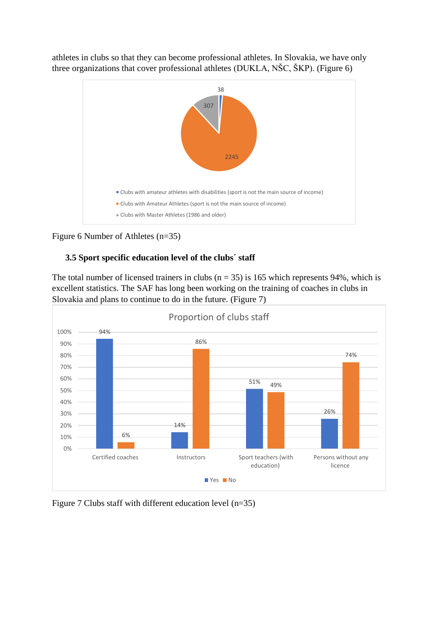

athletes in clubs so that they can become professional athletes. In Slovakia, we have only three organizations that cover professional athletes (DUKLA, NŠC, ŠKP). (Figure 6)

```
Figure 6 Number of Athletes (n=35)
```
### <span id="page-4-0"></span>**3.5 Sport specific education level of the clubs´ staff**

The total number of licensed trainers in clubs ( $n = 35$ ) is 165 which represents 94%, which is excellent statistics. The SAF has long been working on the training of coaches in clubs in Slovakia and plans to continue to do in the future. (Figure 7)



Figure 7 Clubs staff with different education level (n=35)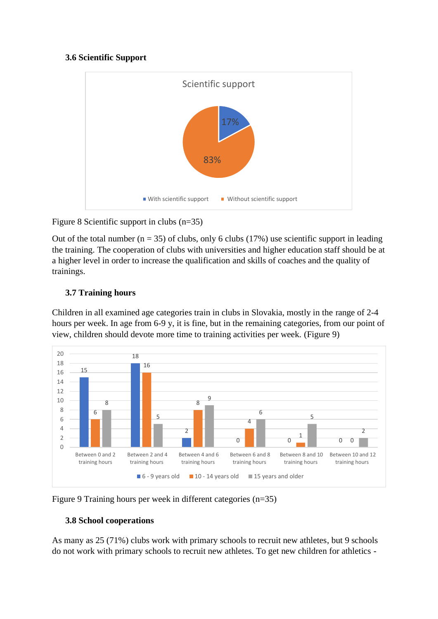### <span id="page-5-0"></span>**3.6 Scientific Support**



Figure 8 Scientific support in clubs (n=35)

Out of the total number ( $n = 35$ ) of clubs, only 6 clubs (17%) use scientific support in leading the training. The cooperation of clubs with universities and higher education staff should be at a higher level in order to increase the qualification and skills of coaches and the quality of trainings.

# <span id="page-5-1"></span>**3.7 Training hours**

Children in all examined age categories train in clubs in Slovakia, mostly in the range of 2-4 hours per week. In age from 6-9 y, it is fine, but in the remaining categories, from our point of view, children should devote more time to training activities per week. (Figure 9)





# <span id="page-5-2"></span>**3.8 School cooperations**

As many as 25 (71%) clubs work with primary schools to recruit new athletes, but 9 schools do not work with primary schools to recruit new athletes. To get new children for athletics -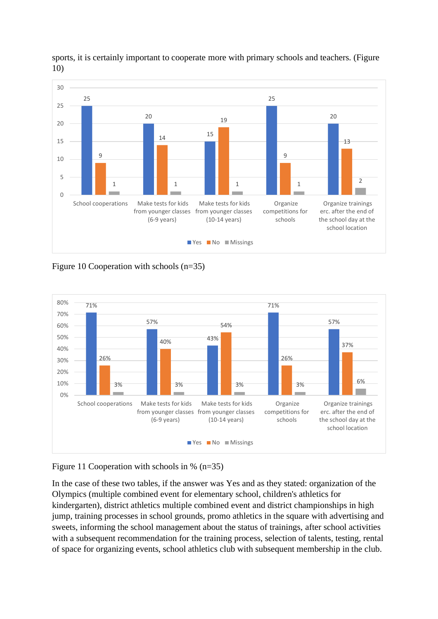

sports, it is certainly important to cooperate more with primary schools and teachers. (Figure 10)

Figure 10 Cooperation with schools (n=35)



### Figure 11 Cooperation with schools in % (n=35)

In the case of these two tables, if the answer was Yes and as they stated: organization of the Olympics (multiple combined event for elementary school, children's athletics for kindergarten), district athletics multiple combined event and district championships in high jump, training processes in school grounds, promo athletics in the square with advertising and sweets, informing the school management about the status of trainings, after school activities with a subsequent recommendation for the training process, selection of talents, testing, rental of space for organizing events, school athletics club with subsequent membership in the club.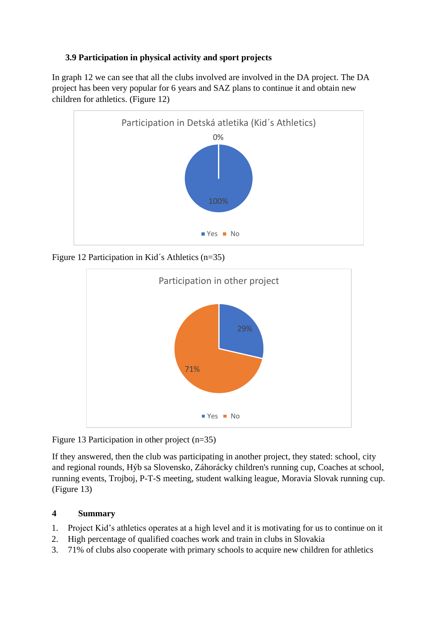### <span id="page-7-0"></span>**3.9 Participation in physical activity and sport projects**

In graph 12 we can see that all the clubs involved are involved in the DA project. The DA project has been very popular for 6 years and SAZ plans to continue it and obtain new children for athletics. (Figure 12)



Figure 12 Participation in Kid´s Athletics (n=35)



Figure 13 Participation in other project (n=35)

If they answered, then the club was participating in another project, they stated: school, city and regional rounds, Hýb sa Slovensko, Záhorácky children's running cup, Coaches at school, running events, Trojboj, P-T-S meeting, student walking league, Moravia Slovak running cup. (Figure 13)

# <span id="page-7-1"></span>**4 Summary**

- 1. Project Kid's athletics operates at a high level and it is motivating for us to continue on it
- 2. High percentage of qualified coaches work and train in clubs in Slovakia
- 3. 71% of clubs also cooperate with primary schools to acquire new children for athletics